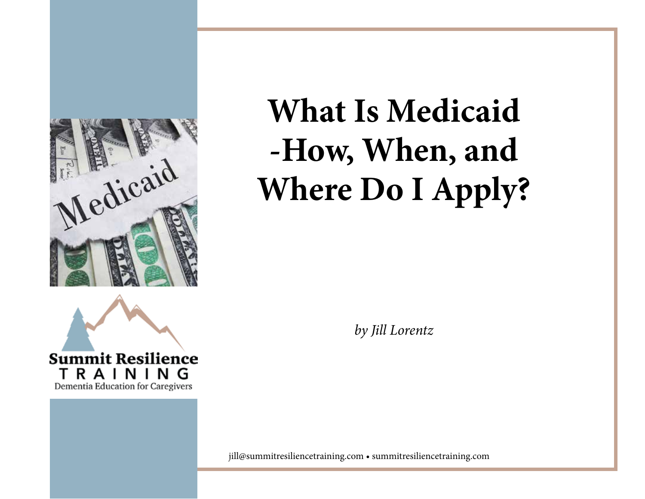

# **Summit Resilience RAINING** т Dementia Education for Caregivers

# **What Is Medicaid -How, When, and Where Do I Apply?**

*by Jill Lorentz*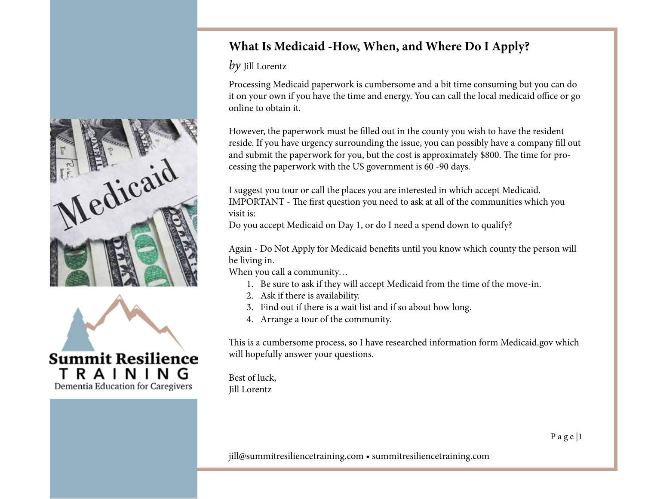# Nedicaid



# **What Is Medicaid -How, When, and Where Do I Apply?**

*by* Jill Lorentz

Processing Medicaid paperwork is cumbersome and a bit time consuming but you can do it on your own if you have the time and energy. You can call the local medicaid office or go online to obtain it.

However, the paperwork must be filled out in the county you wish to have the resident reside. If you have urgency surrounding the issue, you can possibly have a company fill out and submit the paperwork for you, but the cost is approximately \$800. The time for processing the paperwork with the US government is 60 -90 days.

I suggest you tour or call the places you are interested in which accept Medicaid. IMPORTANT - The first question you need to ask at all of the communities which you visit is:

Do you accept Medicaid on Day 1, or do I need a spend down to qualify?

Again - Do Not Apply for Medicaid benefits until you know which county the person will be living in.

When you call a community…

- 1. Be sure to ask if they will accept Medicaid from the time of the move-in.
- 2. Ask if there is availability.
- 3. Find out if there is a wait list and if so about how long.
- 4. Arrange a tour of the community.

This is a cumbersome process, so I have researched information form Medicaid.gov which will hopefully answer your questions.

Best of luck, Jill Lorentz

 $P$  a g e |1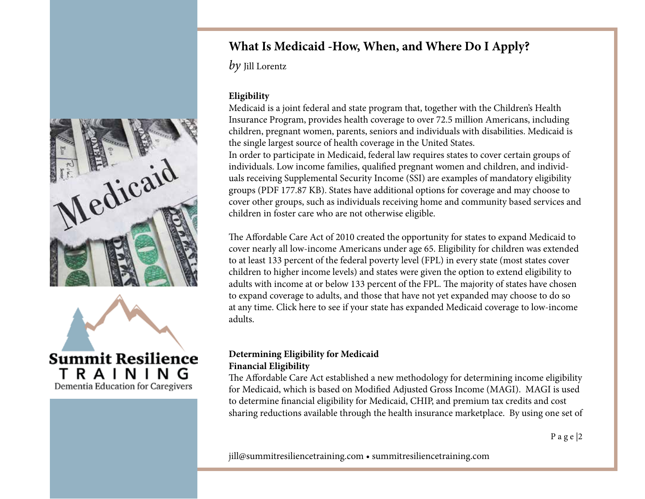

T R A I N Dementia Education for Caregivers

# **What Is Medicaid -How, When, and Where Do I Apply?**

*by* Jill Lorentz

#### **Eligibility**

Medicaid is a joint federal and state program that, together with the Children's Health Insurance Program, provides health coverage to over 72.5 million Americans, including children, pregnant women, parents, seniors and individuals with disabilities. Medicaid is the single largest source of health coverage in the United States.

In order to participate in Medicaid, federal law requires states to cover certain groups of individuals. Low income families, qualified pregnant women and children, and individuals receiving Supplemental Security Income (SSI) are examples of mandatory eligibility groups (PDF 177.87 KB). States have additional options for coverage and may choose to cover other groups, such as individuals receiving home and community based services and children in foster care who are not otherwise eligible.

The Affordable Care Act of 2010 created the opportunity for states to expand Medicaid to cover nearly all low-income Americans under age 65. Eligibility for children was extended to at least 133 percent of the federal poverty level (FPL) in every state (most states cover children to higher income levels) and states were given the option to extend eligibility to adults with income at or below 133 percent of the FPL. The majority of states have chosen to expand coverage to adults, and those that have not yet expanded may choose to do so at any time. Click here to see if your state has expanded Medicaid coverage to low-income adults.

#### **Determining Eligibility for Medicaid Financial Eligibility**

The Affordable Care Act established a new methodology for determining income eligibility for Medicaid, which is based on Modified Adjusted Gross Income (MAGI). MAGI is used to determine financial eligibility for Medicaid, CHIP, and premium tax credits and cost sharing reductions available through the health insurance marketplace. By using one set of

P a g e |2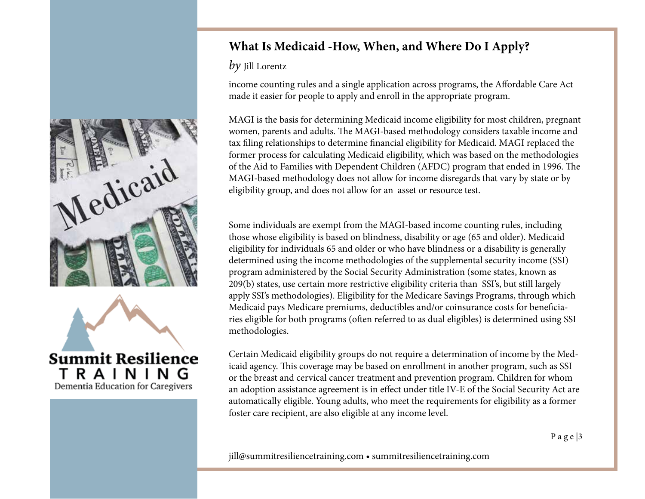

Dementia Education for Caregivers

# **What Is Medicaid -How, When, and Where Do I Apply?**

#### *by* Jill Lorentz

income counting rules and a single application across programs, the Affordable Care Act made it easier for people to apply and enroll in the appropriate program.

MAGI is the basis for determining Medicaid income eligibility for most children, pregnant women, parents and adults. The MAGI-based methodology considers taxable income and tax filing relationships to determine financial eligibility for Medicaid. MAGI replaced the former process for calculating Medicaid eligibility, which was based on the methodologies of the Aid to Families with Dependent Children (AFDC) program that ended in 1996. The MAGI-based methodology does not allow for income disregards that vary by state or by eligibility group, and does not allow for an asset or resource test.

Some individuals are exempt from the MAGI-based income counting rules, including those whose eligibility is based on blindness, disability or age (65 and older). Medicaid eligibility for individuals 65 and older or who have blindness or a disability is generally determined using the income methodologies of the supplemental security income (SSI) program administered by the Social Security Administration (some states, known as 209(b) states, use certain more restrictive eligibility criteria than SSI's, but still largely apply SSI's methodologies). Eligibility for the Medicare Savings Programs, through which Medicaid pays Medicare premiums, deductibles and/or coinsurance costs for beneficiaries eligible for both programs (often referred to as dual eligibles) is determined using SSI methodologies.

Certain Medicaid eligibility groups do not require a determination of income by the Medicaid agency. This coverage may be based on enrollment in another program, such as SSI or the breast and cervical cancer treatment and prevention program. Children for whom an adoption assistance agreement is in effect under title IV-E of the Social Security Act are automatically eligible. Young adults, who meet the requirements for eligibility as a former foster care recipient, are also eligible at any income level.

P a g e |3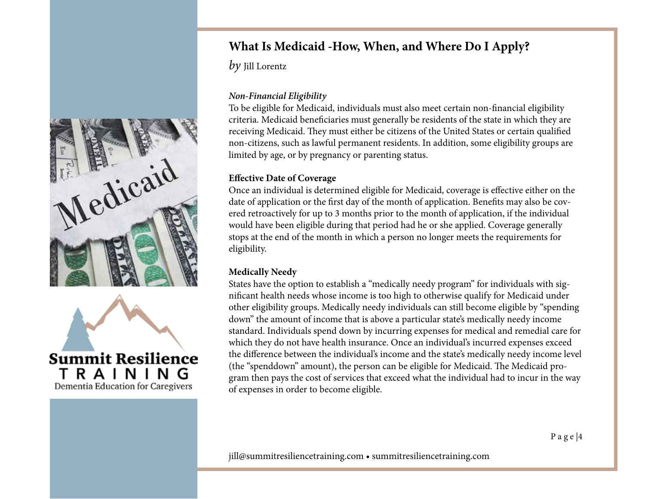



# **What Is Medicaid -How, When, and Where Do I Apply?**

*by* Jill Lorentz

#### *Non-Financial Eligibility*

To be eligible for Medicaid, individuals must also meet certain non-financial eligibility criteria. Medicaid beneficiaries must generally be residents of the state in which they are receiving Medicaid. They must either be citizens of the United States or certain qualified non-citizens, such as lawful permanent residents. In addition, some eligibility groups are limited by age, or by pregnancy or parenting status.

#### **Effective Date of Coverage**

Once an individual is determined eligible for Medicaid, coverage is effective either on the date of application or the first day of the month of application. Benefits may also be covered retroactively for up to 3 months prior to the month of application, if the individual would have been eligible during that period had he or she applied. Coverage generally stops at the end of the month in which a person no longer meets the requirements for eligibility.

#### **Medically Needy**

States have the option to establish a "medically needy program" for individuals with significant health needs whose income is too high to otherwise qualify for Medicaid under other eligibility groups. Medically needy individuals can still become eligible by "spending down" the amount of income that is above a particular state's medically needy income standard. Individuals spend down by incurring expenses for medical and remedial care for which they do not have health insurance. Once an individual's incurred expenses exceed the difference between the individual's income and the state's medically needy income level (the "spenddown" amount), the person can be eligible for Medicaid. The Medicaid program then pays the cost of services that exceed what the individual had to incur in the way of expenses in order to become eligible.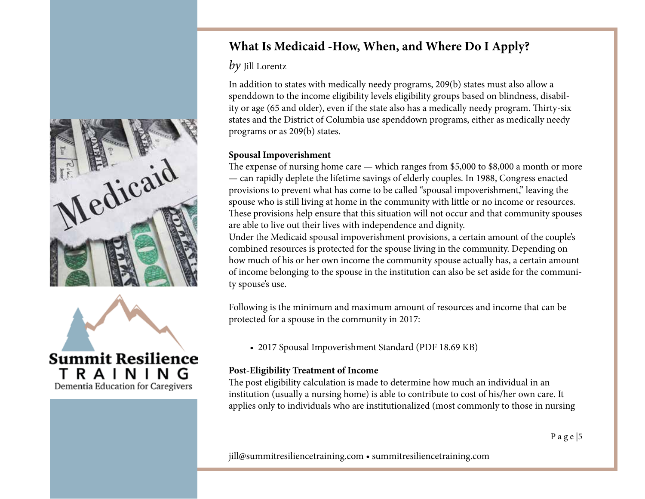

# **Summit Resilience** T R A I N Dementia Education for Caregivers

# **What Is Medicaid -How, When, and Where Do I Apply?**

#### *by* Jill Lorentz

In addition to states with medically needy programs, 209(b) states must also allow a spenddown to the income eligibility levels eligibility groups based on blindness, disability or age (65 and older), even if the state also has a medically needy program. Thirty-six states and the District of Columbia use spenddown programs, either as medically needy programs or as 209(b) states.

#### **Spousal Impoverishment**

The expense of nursing home care — which ranges from \$5,000 to \$8,000 a month or more — can rapidly deplete the lifetime savings of elderly couples. In 1988, Congress enacted provisions to prevent what has come to be called "spousal impoverishment," leaving the spouse who is still living at home in the community with little or no income or resources. These provisions help ensure that this situation will not occur and that community spouses are able to live out their lives with independence and dignity.

Under the Medicaid spousal impoverishment provisions, a certain amount of the couple's combined resources is protected for the spouse living in the community. Depending on how much of his or her own income the community spouse actually has, a certain amount of income belonging to the spouse in the institution can also be set aside for the community spouse's use.

Following is the minimum and maximum amount of resources and income that can be protected for a spouse in the community in 2017:

• 2017 Spousal Impoverishment Standard (PDF 18.69 KB)

#### **Post-Eligibility Treatment of Income**

The post eligibility calculation is made to determine how much an individual in an institution (usually a nursing home) is able to contribute to cost of his/her own care. It applies only to individuals who are institutionalized (most commonly to those in nursing

jill@summitresiliencetraining.com • summitresiliencetraining.com

P a g e  $|5$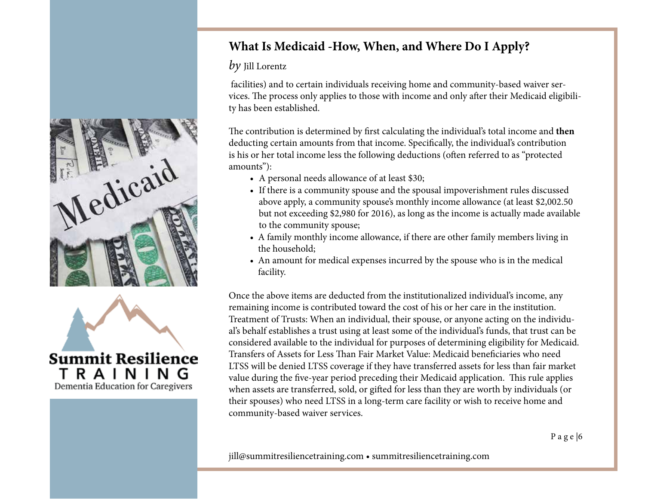



# **What Is Medicaid -How, When, and Where Do I Apply?**

#### *by* Jill Lorentz

 facilities) and to certain individuals receiving home and community-based waiver services. The process only applies to those with income and only after their Medicaid eligibility has been established.

The contribution is determined by first calculating the individual's total income and **then**  deducting certain amounts from that income. Specifically, the individual's contribution is his or her total income less the following deductions (often referred to as "protected amounts"):

- A personal needs allowance of at least \$30;
- If there is a community spouse and the spousal impoverishment rules discussed above apply, a community spouse's monthly income allowance (at least \$2,002.50 but not exceeding \$2,980 for 2016), as long as the income is actually made available to the community spouse;
- A family monthly income allowance, if there are other family members living in the household;
- An amount for medical expenses incurred by the spouse who is in the medical facility.

Once the above items are deducted from the institutionalized individual's income, any remaining income is contributed toward the cost of his or her care in the institution. Treatment of Trusts: When an individual, their spouse, or anyone acting on the individual's behalf establishes a trust using at least some of the individual's funds, that trust can be considered available to the individual for purposes of determining eligibility for Medicaid. Transfers of Assets for Less Than Fair Market Value: Medicaid beneficiaries who need LTSS will be denied LTSS coverage if they have transferred assets for less than fair market value during the five-year period preceding their Medicaid application. This rule applies when assets are transferred, sold, or gifted for less than they are worth by individuals (or their spouses) who need LTSS in a long-term care facility or wish to receive home and community-based waiver services.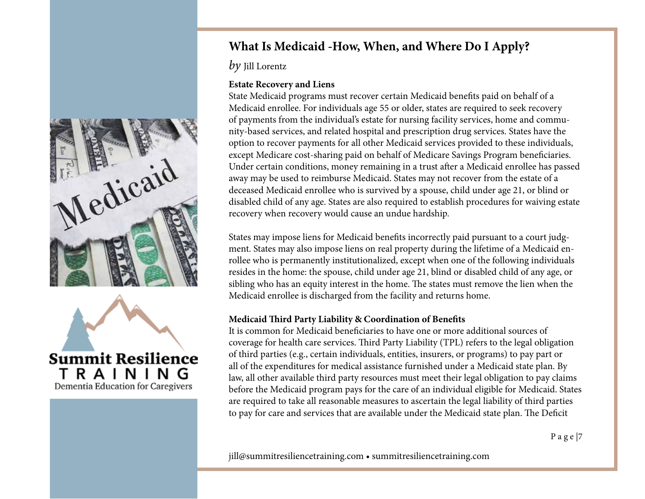

Dementia Education for Caregivers

### **What Is Medicaid -How, When, and Where Do I Apply?**

*by* Jill Lorentz

#### **Estate Recovery and Liens**

State Medicaid programs must recover certain Medicaid benefits paid on behalf of a Medicaid enrollee. For individuals age 55 or older, states are required to seek recovery of payments from the individual's estate for nursing facility services, home and community-based services, and related hospital and prescription drug services. States have the option to recover payments for all other Medicaid services provided to these individuals, except Medicare cost-sharing paid on behalf of Medicare Savings Program beneficiaries. Under certain conditions, money remaining in a trust after a Medicaid enrollee has passed away may be used to reimburse Medicaid. States may not recover from the estate of a deceased Medicaid enrollee who is survived by a spouse, child under age 21, or blind or disabled child of any age. States are also required to establish procedures for waiving estate recovery when recovery would cause an undue hardship.

States may impose liens for Medicaid benefits incorrectly paid pursuant to a court judgment. States may also impose liens on real property during the lifetime of a Medicaid enrollee who is permanently institutionalized, except when one of the following individuals resides in the home: the spouse, child under age 21, blind or disabled child of any age, or sibling who has an equity interest in the home. The states must remove the lien when the Medicaid enrollee is discharged from the facility and returns home.

#### **Medicaid Third Party Liability & Coordination of Benefits**

It is common for Medicaid beneficiaries to have one or more additional sources of coverage for health care services. Third Party Liability (TPL) refers to the legal obligation of third parties (e.g., certain individuals, entities, insurers, or programs) to pay part or all of the expenditures for medical assistance furnished under a Medicaid state plan. By law, all other available third party resources must meet their legal obligation to pay claims before the Medicaid program pays for the care of an individual eligible for Medicaid. States are required to take all reasonable measures to ascertain the legal liability of third parties to pay for care and services that are available under the Medicaid state plan. The Deficit

jill@summitresiliencetraining.com • summitresiliencetraining.com

P a g e |7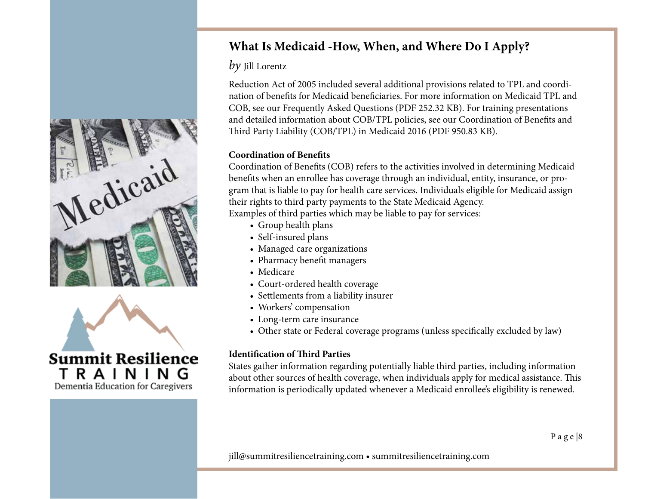



# **What Is Medicaid -How, When, and Where Do I Apply?**

#### *by* Jill Lorentz

Reduction Act of 2005 included several additional provisions related to TPL and coordination of benefits for Medicaid beneficiaries. For more information on Medicaid TPL and COB, see our Frequently Asked Questions (PDF 252.32 KB). For training presentations and detailed information about COB/TPL policies, see our Coordination of Benefits and Third Party Liability (COB/TPL) in Medicaid 2016 (PDF 950.83 KB).

#### **Coordination of Benefits**

Coordination of Benefits (COB) refers to the activities involved in determining Medicaid benefits when an enrollee has coverage through an individual, entity, insurance, or program that is liable to pay for health care services. Individuals eligible for Medicaid assign their rights to third party payments to the State Medicaid Agency.

Examples of third parties which may be liable to pay for services:

- Group health plans
- Self-insured plans
- Managed care organizations
- Pharmacy benefit managers
- Medicare
- Court-ordered health coverage
- Settlements from a liability insurer
- Workers' compensation
- Long-term care insurance
- Other state or Federal coverage programs (unless specifically excluded by law)

#### **Identification of Third Parties**

States gather information regarding potentially liable third parties, including information about other sources of health coverage, when individuals apply for medical assistance. This information is periodically updated whenever a Medicaid enrollee's eligibility is renewed.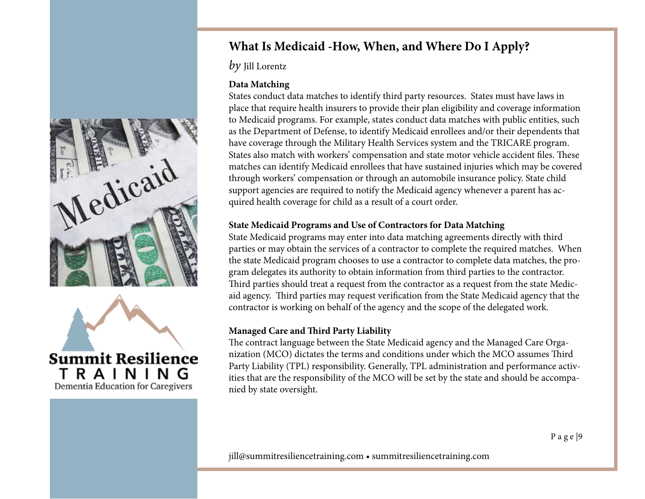

T R A I N Dementia Education for Caregivers

# **What Is Medicaid -How, When, and Where Do I Apply?**

*by* Jill Lorentz

#### **Data Matching**

States conduct data matches to identify third party resources. States must have laws in place that require health insurers to provide their plan eligibility and coverage information to Medicaid programs. For example, states conduct data matches with public entities, such as the Department of Defense, to identify Medicaid enrollees and/or their dependents that have coverage through the Military Health Services system and the TRICARE program. States also match with workers' compensation and state motor vehicle accident files. These matches can identify Medicaid enrollees that have sustained injuries which may be covered through workers' compensation or through an automobile insurance policy. State child support agencies are required to notify the Medicaid agency whenever a parent has acquired health coverage for child as a result of a court order.

#### **State Medicaid Programs and Use of Contractors for Data Matching**

State Medicaid programs may enter into data matching agreements directly with third parties or may obtain the services of a contractor to complete the required matches. When the state Medicaid program chooses to use a contractor to complete data matches, the program delegates its authority to obtain information from third parties to the contractor. Third parties should treat a request from the contractor as a request from the state Medicaid agency. Third parties may request verification from the State Medicaid agency that the contractor is working on behalf of the agency and the scope of the delegated work.

#### **Managed Care and Third Party Liability**

The contract language between the State Medicaid agency and the Managed Care Organization (MCO) dictates the terms and conditions under which the MCO assumes Third Party Liability (TPL) responsibility. Generally, TPL administration and performance activities that are the responsibility of the MCO will be set by the state and should be accompanied by state oversight.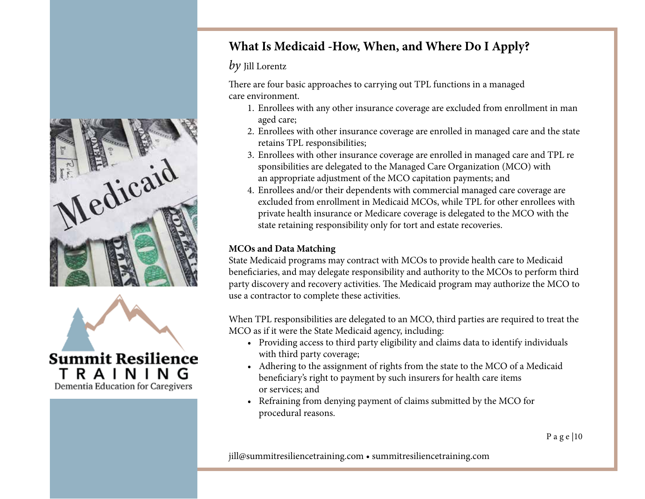



Dementia Education for Caregivers

# **What Is Medicaid -How, When, and Where Do I Apply?**

#### *by* Jill Lorentz

There are four basic approaches to carrying out TPL functions in a managed care environment.

- 1. Enrollees with any other insurance coverage are excluded from enrollment in man aged care;
- 2. Enrollees with other insurance coverage are enrolled in managed care and the state retains TPL responsibilities;
- 3. Enrollees with other insurance coverage are enrolled in managed care and TPL re sponsibilities are delegated to the Managed Care Organization (MCO) with an appropriate adjustment of the MCO capitation payments; and
- 4. Enrollees and/or their dependents with commercial managed care coverage are excluded from enrollment in Medicaid MCOs, while TPL for other enrollees with private health insurance or Medicare coverage is delegated to the MCO with the state retaining responsibility only for tort and estate recoveries.

#### **MCOs and Data Matching**

State Medicaid programs may contract with MCOs to provide health care to Medicaid beneficiaries, and may delegate responsibility and authority to the MCOs to perform third party discovery and recovery activities. The Medicaid program may authorize the MCO to use a contractor to complete these activities.

When TPL responsibilities are delegated to an MCO, third parties are required to treat the MCO as if it were the State Medicaid agency, including:

- Providing access to third party eligibility and claims data to identify individuals with third party coverage;
- Adhering to the assignment of rights from the state to the MCO of a Medicaid beneficiary's right to payment by such insurers for health care items or services; and
- Refraining from denying payment of claims submitted by the MCO for procedural reasons.

jill@summitresiliencetraining.com • summitresiliencetraining.com

P a g e |10